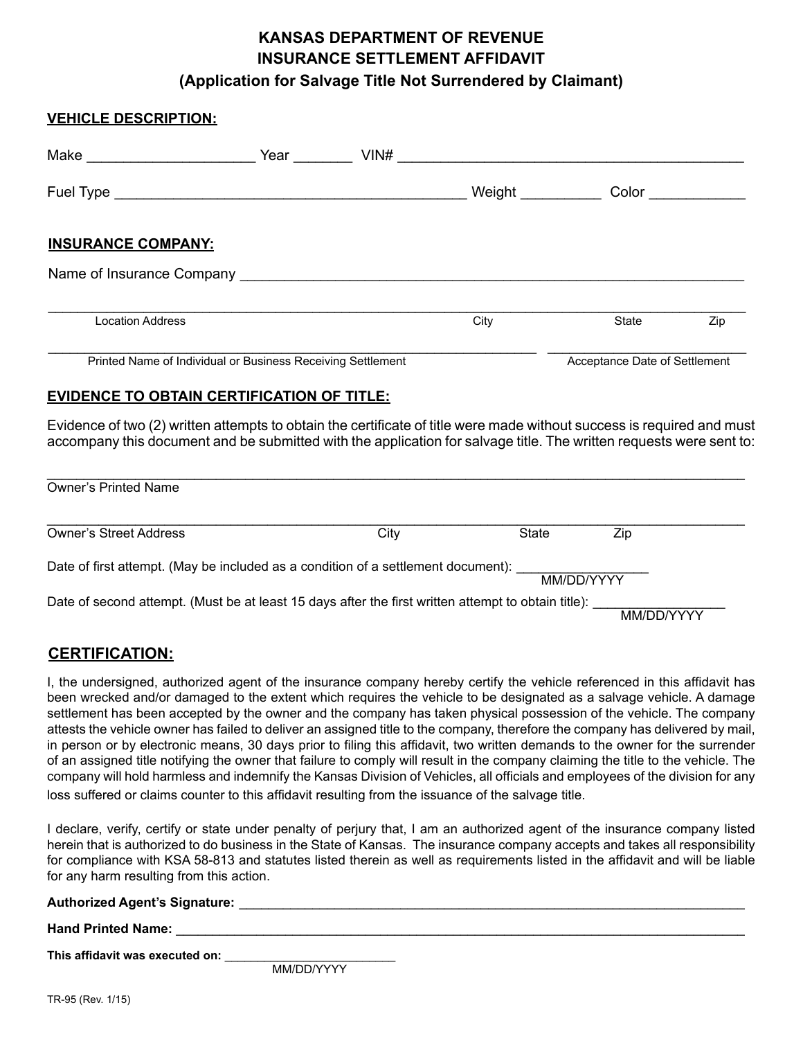## **KANSAS DEPARTMENT OF REVENUE INSURANCE SETTLEMENT AFFIDAVIT (Application for Salvage Title Not Surrendered by Claimant)**

| <b>VEHICLE DESCRIPTION:</b>                                 |      |                     |                               |     |
|-------------------------------------------------------------|------|---------------------|-------------------------------|-----|
| Make ___________________________                            | Year | $VINH$              |                               |     |
|                                                             |      | Weight ____________ | Color                         |     |
| <b>INSURANCE COMPANY:</b>                                   |      |                     |                               |     |
|                                                             |      |                     |                               |     |
| <b>Location Address</b>                                     |      | City                | State                         | Zip |
| Printed Name of Individual or Business Receiving Settlement |      |                     | Acceptance Date of Settlement |     |

## **EVIDENCE TO OBTAIN CERTIFICATION OF TITLE:**

Evidence of two (2) written attempts to obtain the certificate of title were made without success is required and must accompany this document and be submitted with the application for salvage title. The written requests were sent to:

| <b>Owner's Printed Name</b>                                                                         |      |       |            |  |  |  |  |
|-----------------------------------------------------------------------------------------------------|------|-------|------------|--|--|--|--|
| <b>Owner's Street Address</b>                                                                       | City | State | Zip        |  |  |  |  |
| Date of first attempt. (May be included as a condition of a settlement document):<br>MM/DD/YYYY     |      |       |            |  |  |  |  |
| Date of second attempt. (Must be at least 15 days after the first written attempt to obtain title): |      |       | MM/DD/YYYY |  |  |  |  |

## **CERTIFICATION:**

I, the undersigned, authorized agent of the insurance company hereby certify the vehicle referenced in this affidavit has been wrecked and/or damaged to the extent which requires the vehicle to be designated as a salvage vehicle. A damage settlement has been accepted by the owner and the company has taken physical possession of the vehicle. The company attests the vehicle owner has failed to deliver an assigned title to the company, therefore the company has delivered by mail, in person or by electronic means, 30 days prior to filing this affidavit, two written demands to the owner for the surrender of an assigned title notifying the owner that failure to comply will result in the company claiming the title to the vehicle. The company will hold harmless and indemnify the Kansas Division of Vehicles, all officials and employees of the division for any loss suffered or claims counter to this affidavit resulting from the issuance of the salvage title.

I declare, verify, certify or state under penalty of perjury that, I am an authorized agent of the insurance company listed herein that is authorized to do business in the State of Kansas. The insurance company accepts and takes all responsibility for compliance with KSA 58-813 and statutes listed therein as well as requirements listed in the affidavit and will be liable for any harm resulting from this action.

| <b>Authorized Agent's Signature:</b> |           |  |  |
|--------------------------------------|-----------|--|--|
| <b>Hand Printed Name:</b>            |           |  |  |
| This affidavit was executed on:      | <u>. </u> |  |  |

MM/DD/YYYY